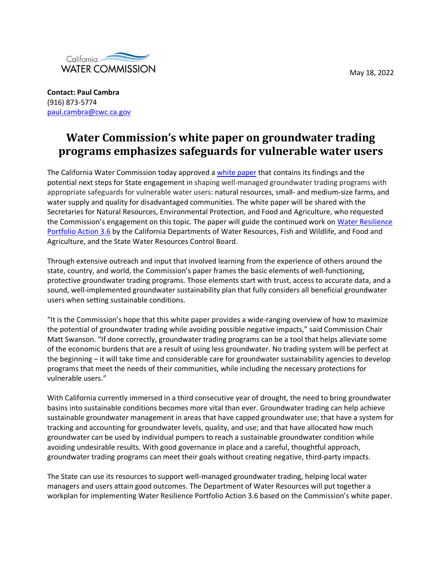May 18, 2022



**Contact: Paul Cambra** (916) 873-5774 [paul.cambra@cwc.ca.gov](mailto:paul.cambra@cwc.ca.gov)

## **Water Commission's white paper on groundwater trading programs emphasizes safeguards for vulnerable water users**

The California Water Commission today approved a [white paper](https://cwc.ca.gov/-/media/CWC-Website/Files/Documents/2022/01_January/January2022_Item_10_Attach_1_DraftWhitePaper_Final.pdf) that contains its findings and the potential next steps for State engagement in shaping well-managed groundwater trading programs with appropriate safeguards for vulnerable water users: natural resources, small- and medium-size farms, and water supply and quality for disadvantaged communities. The white paper will be shared with the Secretaries for Natural Resources, Environmental Protection, and Food and Agriculture, who requested the Commission's engagement on this topic. The paper will guide the continued work on Water Resilience [Portfolio Action 3.6](https://waterresilience.ca.gov/wp-content/uploads/2020/07/Final_California-Water-Resilience-Portfolio-2020_ADA3_v2_ay11-opt.pdf) by the California Departments of Water Resources, Fish and Wildlife, and Food and Agriculture, and the State Water Resources Control Board.

Through extensive outreach and input that involved learning from the experience of others around the state, country, and world, the Commission's paper frames the basic elements of well-functioning, protective groundwater trading programs. Those elements start with trust, access to accurate data, and a sound, well-implemented groundwater sustainability plan that fully considers all beneficial groundwater users when setting sustainable conditions.

"It is the Commission's hope that this white paper provides a wide-ranging overview of how to maximize the potential of groundwater trading while avoiding possible negative impacts," said Commission Chair Matt Swanson. "If done correctly, groundwater trading programs can be a tool that helps alleviate some of the economic burdens that are a result of using less groundwater. No trading system will be perfect at the beginning – it will take time and considerable care for groundwater sustainability agencies to develop programs that meet the needs of their communities, while including the necessary protections for vulnerable users."

With California currently immersed in a third consecutive year of drought, the need to bring groundwater basins into sustainable conditions becomes more vital than ever. Groundwater trading can help achieve sustainable groundwater management in areas that have capped groundwater use; that have a system for tracking and accounting for groundwater levels, quality, and use; and that have allocated how much groundwater can be used by individual pumpers to reach a sustainable groundwater condition while avoiding undesirable results. With good governance in place and a careful, thoughtful approach, groundwater trading programs can meet their goals without creating negative, third-party impacts.

The State can use its resources to support well-managed groundwater trading, helping local water managers and users attain good outcomes. The Department of Water Resources will put together a workplan for implementing Water Resilience Portfolio Action 3.6 based on the Commission's white paper.